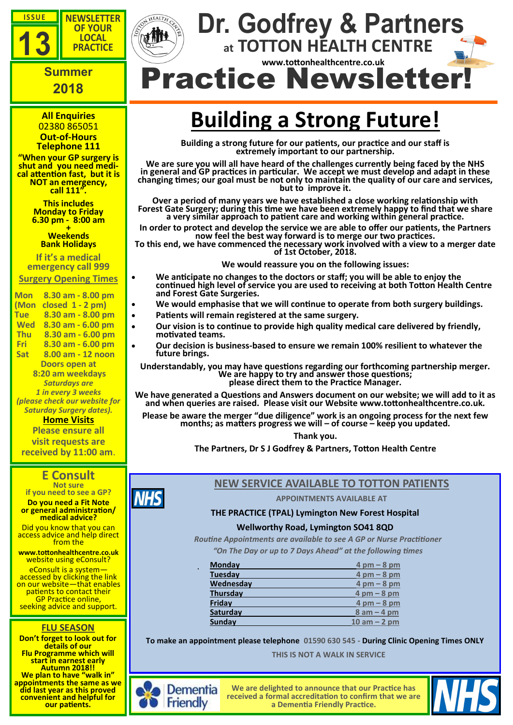





**OF YOUR LOCAL**

## **2018**

**All Enquiries** 02380 865051 **Out-of-Hours**

**Telephone 111 "When your GP surgery is** 

**shut and you need medical attention fast, but it is NOT an emergency, call 111".**

> **This includes Monday to Friday 6.30 pm - 8:00 am**

**+ Weekends Bank Holidays** 

**If it's a medical emergency call 999** 

**Surgery Opening Times**

**Mon 8.30 am - 8.00 pm (Mon closed 1 - 2 pm) Tue 8.30 am - 8.00 pm Wed 8.30 am - 6.00 pm Thu 8.30 am - 6.00 pm Fri 8.30 am - 6.00 pm Sat 8.00 am - 12 noon Doors open at 8:20 am weekdays** *Saturdays are 1 in every 3 weeks (please check our website for Saturday Surgery dates).*

#### **Home Visits Please ensure all**

**visit requests are received by 11:00 am**.

### **E Consult**

**Not sure if you need to see a GP? Do you need a Fit Note** 

**or general administration/ medical advice?** 

Did you know that you can access advice and help direct from the

**www.tottonhealthcentre.co.uk**  website using eConsult?

eConsult is a system accessed by clicking the link on our website—that enables patients to contact their GP Practice online, seeking advice and support.

#### **FLU SEASON**

**Don't forget to look out for details of our Flu Programme which will start in earnest early Autumn 2018!! We plan to have "walk in" appointments the same as we did last year as this proved convenient and helpful for our patients.**

# **Building a Strong Future!**

 **at TOTTON HEALTH CENTRE**

 **www.tottonhealthcentre.co.uk**

**Building a strong future for our patients, our practice and our staff is extremely important to our partnership.**

**We are sure you will all have heard of the challenges currently being faced by the NHS in general and GP practices in particular. We accept we must develop and adapt in these changing times; our goal must be not only to maintain the quality of our care and services, but to improve it.**

**Over a period of many years we have established a close working relationship with Forest Gate Surgery; during this time we have been extremely happy to find that we share a very similar approach to patient care and working within general practice.**

**In order to protect and develop the service we are able to offer our patients, the Partners now feel the best way forward is to merge our two practices.** 

**To this end, we have commenced the necessary work involved with a view to a merger date of 1st October, 2018.**

**We would reassure you on the following issues:**

- **We anticipate no changes to the doctors or staff; you will be able to enjoy the continued high level of service you are used to receiving at both Totton Health Centre and Forest Gate Surgeries.**
- **We would emphasise that we will continue to operate from both surgery buildings.**
- **Patients will remain registered at the same surgery.**
- **Our vision is to continue to provide high quality medical care delivered by friendly, motivated teams.**
- **Our decision is business-based to ensure we remain 100% resilient to whatever the future brings.**

**Understandably, you may have questions regarding our forthcoming partnership merger. We are happy to try and answer those questions; please direct them to the Practice Manager.**

**We have generated a Questions and Answers document on our website; we will add to it as and when queries are raised. Please visit our Website www.tottonhealthcentre.co.uk.**

**Please be aware the merger "due diligence" work is an ongoing process for the next few months; as matters progress we will – of course – keep you updated.**

**Thank you.**

**The Partners, Dr S J Godfrey & Partners, Totton Health Centre**

#### **NEW SERVICE AVAILABLE TO TOTTON PATIENTS**

**APPOINTMENTS AVAILABLE AT**

#### **THE PRACTICE (TPAL) Lymington New Forest Hospital**

#### **Wellworthy Road, Lymington SO41 8QD**

*Routine Appointments are available to see A GP or Nurse Practitioner "On The Day or up to 7 Days Ahead" at the following times*

| <b>Monday</b>   | $4 \text{ pm} - 8 \text{ pm}$ |
|-----------------|-------------------------------|
| <b>Tuesday</b>  | $4 \text{ pm} - 8 \text{ pm}$ |
| Wednesday       | $4 \text{ pm} - 8 \text{ pm}$ |
| <b>Thursday</b> | $4 \text{ pm} - 8 \text{ pm}$ |
| Friday          | $4 \text{ pm} - 8 \text{ pm}$ |
| Saturday        | $8 am - 4 pm$                 |
| Sunday          | $10$ am $- 2$ pm              |

**To make an appointment please telephone 01590 630 545 - During Clinic Opening Times ONLY**

 **THIS IS NOT A WALK IN SERVICE**



**NHS** 

**We are delighted to announce that our Practice has received a formal accreditation to confirm that we are a Dementia Friendly Practice.**